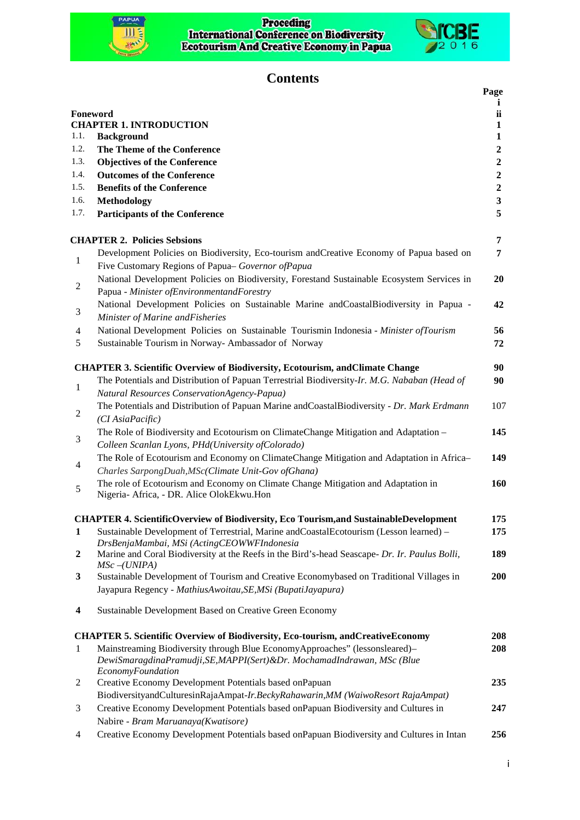## Proceding<br>International Conference on Biodiversity<br>Ecotourism And Creative Economy in Papua



## $ICBE<sub>2016</sub>$

## **Contents**

|                |                                                                                                                                                                             | Page             |
|----------------|-----------------------------------------------------------------------------------------------------------------------------------------------------------------------------|------------------|
|                |                                                                                                                                                                             | i                |
|                | Foneword<br><b>CHAPTER 1. INTRODUCTION</b>                                                                                                                                  | ii<br>1          |
| 1.1.           | <b>Background</b>                                                                                                                                                           | 1                |
| 1.2.           | The Theme of the Conference                                                                                                                                                 | 2                |
| 1.3.           | <b>Objectives of the Conference</b>                                                                                                                                         | $\boldsymbol{2}$ |
| 1.4.           | <b>Outcomes of the Conference</b>                                                                                                                                           | $\overline{2}$   |
| 1.5.           | <b>Benefits of the Conference</b>                                                                                                                                           | $\overline{2}$   |
| 1.6.           | Methodology                                                                                                                                                                 | $\mathbf{3}$     |
| 1.7.           | <b>Participants of the Conference</b>                                                                                                                                       | 5                |
|                | <b>CHAPTER 2. Policies Sebsions</b>                                                                                                                                         | 7                |
| 1              | Development Policies on Biodiversity, Eco-tourism and Creative Economy of Papua based on<br>Five Customary Regions of Papua- Governor of Papua                              | 7                |
| $\overline{c}$ | National Development Policies on Biodiversity, Forestand Sustainable Ecosystem Services in<br>Papua - Minister of Environmentand Forestry                                   | 20               |
| 3              | National Development Policies on Sustainable Marine and Coastal Biodiversity in Papua -<br>Minister of Marine andFisheries                                                  | 42               |
| 4              | National Development Policies on Sustainable Tourismin Indonesia - Minister of Tourism                                                                                      | 56               |
| 5              | Sustainable Tourism in Norway- Ambassador of Norway                                                                                                                         | 72               |
|                | <b>CHAPTER 3. Scientific Overview of Biodiversity, Ecotourism, and Climate Change</b>                                                                                       | 90               |
| 1              | The Potentials and Distribution of Papuan Terrestrial Biodiversity-Ir. M.G. Nababan (Head of<br>Natural Resources ConservationAgency-Papua)                                 | 90               |
| 2              | The Potentials and Distribution of Papuan Marine and Coastal Biodiversity - Dr. Mark Erdmann<br>(CI AsiaPacific)                                                            | 107              |
| 3              | The Role of Biodiversity and Ecotourism on ClimateChange Mitigation and Adaptation -<br>Colleen Scanlan Lyons, PHd(University ofColorado)                                   | 145              |
| 4              | The Role of Ecotourism and Economy on ClimateChange Mitigation and Adaptation in Africa-<br>Charles SarpongDuah, MSc(Climate Unit-Gov of Ghana)                             | 149              |
| 5              | The role of Ecotourism and Economy on Climate Change Mitigation and Adaptation in<br>Nigeria- Africa, - DR. Alice OlokEkwu.Hon                                              | 160              |
|                | <b>CHAPTER 4. ScientificOverview of Biodiversity, Eco Tourism, and SustainableDevelopment</b>                                                                               | 175              |
| $\mathbf{1}$   | Sustainable Development of Terrestrial, Marine and Coastal Ecotourism (Lesson learned) -<br>DrsBenjaMambai, MSi (ActingCEOWWFIndonesia                                      | 175              |
| $\mathbf{2}$   | Marine and Coral Biodiversity at the Reefs in the Bird's-head Seascape- Dr. Ir. Paulus Bolli,<br>$MSc$ -(UNIPA)                                                             | 189              |
| 3              | Sustainable Development of Tourism and Creative Economybased on Traditional Villages in                                                                                     | 200              |
|                | Jayapura Regency - MathiusAwoitau, SE, MSi (BupatiJayapura)                                                                                                                 |                  |
| 4              | Sustainable Development Based on Creative Green Economy                                                                                                                     |                  |
|                | <b>CHAPTER 5. Scientific Overview of Biodiversity, Eco-tourism, and Creative Economy</b>                                                                                    | 208              |
| 1              | Mainstreaming Biodiversity through Blue EconomyApproaches" (lessonsleared)-<br>DewiSmaragdinaPramudji, SE, MAPPI(Sert)&Dr. MochamadIndrawan, MSc (Blue<br>EconomyFoundation | 208              |
| 2              | Creative Economy Development Potentials based on Papuan<br>BiodiversityandCulturesinRajaAmpat-Ir.BeckyRahawarin,MM (WaiwoResort RajaAmpat)                                  | 235              |
| 3              | Creative Economy Development Potentials based onPapuan Biodiversity and Cultures in                                                                                         | 247              |
|                | Nabire - Bram Maruanaya(Kwatisore)                                                                                                                                          |                  |
| 4              | Creative Economy Development Potentials based on Papuan Biodiversity and Cultures in Intan                                                                                  | 256              |